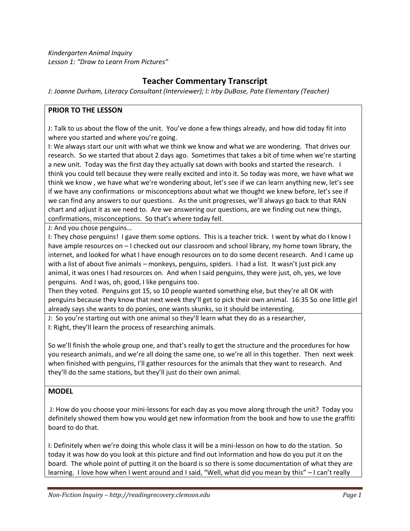*Kindergarten Animal Inquiry Lesson 1: "Draw to Learn From Pictures"*

# **Teacher Commentary Transcript**

*J: Joanne Durham, Literacy Consultant (Interviewer); I: Irby DuBose, Pate Elementary (Teacher)*

#### **PRIOR TO THE LESSON**

J: Talk to us about the flow of the unit. You've done a few things already, and how did today fit into where you started and where you're going.

I: We always start our unit with what we think we know and what we are wondering. That drives our research. So we started that about 2 days ago. Sometimes that takes a bit of time when we're starting a new unit. Today was the first day they actually sat down with books and started the research. I think you could tell because they were really excited and into it. So today was more, we have what we think we know , we have what we're wondering about, let's see if we can learn anything new, let's see if we have any confirmations or misconceptions about what we thought we knew before, let's see if we can find any answers to our questions. As the unit progresses, we'll always go back to that RAN chart and adjust it as we need to. Are we answering our questions, are we finding out new things, confirmations, misconceptions. So that's where today fell.

J: And you chose penguins…

I: They chose penguins! I gave them some options. This is a teacher trick. I went by what do I know I have ample resources on  $-1$  checked out our classroom and school library, my home town library, the internet, and looked for what I have enough resources on to do some decent research. And I came up with a list of about five animals – monkeys, penguins, spiders. I had a list. It wasn't just pick any animal, it was ones I had resources on. And when I said penguins, they were just, oh, yes, we love penguins. And I was, oh, good, I like penguins too.

Then they voted. Penguins got 15, so 10 people wanted something else, but they're all OK with penguins because they know that next week they'll get to pick their own animal. 16:35 So one little girl already says she wants to do ponies, one wants skunks, so it should be interesting.

J: So you're starting out with one animal so they'll learn what they do as a researcher, I: Right, they'll learn the process of researching animals.

So we'll finish the whole group one, and that's really to get the structure and the procedures for how you research animals, and we're all doing the same one, so we're all in this together. Then next week when finished with penguins, I'll gather resources for the animals that they want to research. And they'll do the same stations, but they'll just do their own animal.

#### **MODEL**

J: How do you choose your mini-lessons for each day as you move along through the unit? Today you definitely showed them how you would get new information from the book and how to use the graffiti board to do that.

I: Definitely when we're doing this whole class it will be a mini-lesson on how to do the station. So today it was how do you look at this picture and find out information and how do you put it on the board. The whole point of putting it on the board is so there is some documentation of what they are learning. I love how when I went around and I said, "Well, what did you mean by this" – I can't really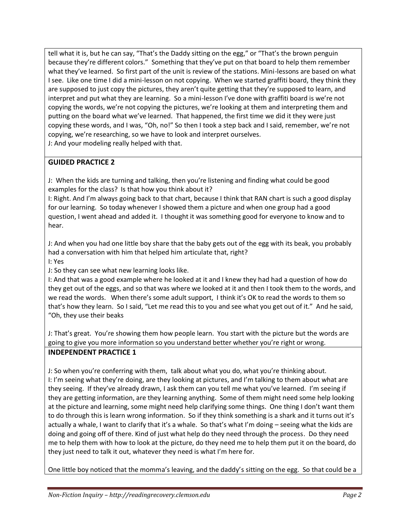tell what it is, but he can say, "That's the Daddy sitting on the egg," or "That's the brown penguin because they're different colors." Something that they've put on that board to help them remember what they've learned. So first part of the unit is review of the stations. Mini-lessons are based on what I see. Like one time I did a mini-lesson on not copying. When we started graffiti board, they think they are supposed to just copy the pictures, they aren't quite getting that they're supposed to learn, and interpret and put what they are learning. So a mini-lesson I've done with graffiti board is we're not copying the words, we're not copying the pictures, we're looking at them and interpreting them and putting on the board what we've learned. That happened, the first time we did it they were just copying these words, and I was, "Oh, no!" So then I took a step back and I said, remember, we're not copying, we're researching, so we have to look and interpret ourselves. J: And your modeling really helped with that.

## **GUIDED PRACTICE 2**

J: When the kids are turning and talking, then you're listening and finding what could be good examples for the class? Is that how you think about it?

I: Right. And I'm always going back to that chart, because I think that RAN chart is such a good display for our learning. So today whenever I showed them a picture and when one group had a good question, I went ahead and added it. I thought it was something good for everyone to know and to hear.

J: And when you had one little boy share that the baby gets out of the egg with its beak, you probably had a conversation with him that helped him articulate that, right?

I: Yes

J: So they can see what new learning looks like.

I: And that was a good example where he looked at it and I knew they had had a question of how do they get out of the eggs, and so that was where we looked at it and then I took them to the words, and we read the words. When there's some adult support, I think it's OK to read the words to them so that's how they learn. So I said, "Let me read this to you and see what you get out of it." And he said, "Oh, they use their beaks

J: That's great. You're showing them how people learn. You start with the picture but the words are going to give you more information so you understand better whether you're right or wrong.

#### **INDEPENDENT PRACTICE 1**

J: So when you're conferring with them, talk about what you do, what you're thinking about. I: I'm seeing what they're doing, are they looking at pictures, and I'm talking to them about what are they seeing. If they've already drawn, I ask them can you tell me what you've learned. I'm seeing if they are getting information, are they learning anything. Some of them might need some help looking at the picture and learning, some might need help clarifying some things. One thing I don't want them to do through this is learn wrong information. So if they think something is a shark and it turns out it's actually a whale, I want to clarify that it's a whale. So that's what I'm doing – seeing what the kids are doing and going off of there. Kind of just what help do they need through the process. Do they need me to help them with how to look at the picture, do they need me to help them put it on the board, do they just need to talk it out, whatever they need is what I'm here for.

One little boy noticed that the momma's leaving, and the daddy's sitting on the egg. So that could be a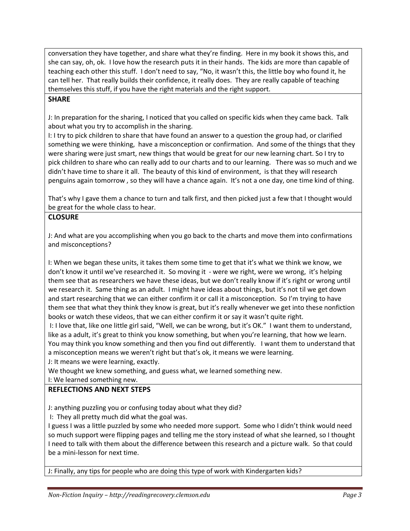conversation they have together, and share what they're finding. Here in my book it shows this, and she can say, oh, ok. I love how the research puts it in their hands. The kids are more than capable of teaching each other this stuff. I don't need to say, "No, it wasn't this, the little boy who found it, he can tell her. That really builds their confidence, it really does. They are really capable of teaching themselves this stuff, if you have the right materials and the right support.

### **SHARE**

J: In preparation for the sharing, I noticed that you called on specific kids when they came back. Talk about what you try to accomplish in the sharing.

I: I try to pick children to share that have found an answer to a question the group had, or clarified something we were thinking, have a misconception or confirmation. And some of the things that they were sharing were just smart, new things that would be great for our new learning chart. So I try to pick children to share who can really add to our charts and to our learning. There was so much and we didn't have time to share it all. The beauty of this kind of environment, is that they will research penguins again tomorrow , so they will have a chance again. It's not a one day, one time kind of thing.

That's why I gave them a chance to turn and talk first, and then picked just a few that I thought would be great for the whole class to hear.

#### **CLOSURE**

J: And what are you accomplishing when you go back to the charts and move them into confirmations and misconceptions?

I: When we began these units, it takes them some time to get that it's what we think we know, we don't know it until we've researched it. So moving it - were we right, were we wrong, it's helping them see that as researchers we have these ideas, but we don't really know if it's right or wrong until we research it. Same thing as an adult. I might have ideas about things, but it's not til we get down and start researching that we can either confirm it or call it a misconception. So I'm trying to have them see that what they think they know is great, but it's really whenever we get into these nonfiction books or watch these videos, that we can either confirm it or say it wasn't quite right.

I: I love that, like one little girl said, "Well, we can be wrong, but it's OK." I want them to understand, like as a adult, it's great to think you know something, but when you're learning, that how we learn. You may think you know something and then you find out differently. I want them to understand that a misconception means we weren't right but that's ok, it means we were learning.

J: It means we were learning, exactly.

We thought we knew something, and guess what, we learned something new.

I: We learned something new.

#### **REFLECTIONS AND NEXT STEPS**

J: anything puzzling you or confusing today about what they did?

I: They all pretty much did what the goal was.

I guess I was a little puzzled by some who needed more support. Some who I didn't think would need so much support were flipping pages and telling me the story instead of what she learned, so I thought I need to talk with them about the difference between this research and a picture walk. So that could be a mini-lesson for next time.

J: Finally, any tips for people who are doing this type of work with Kindergarten kids?